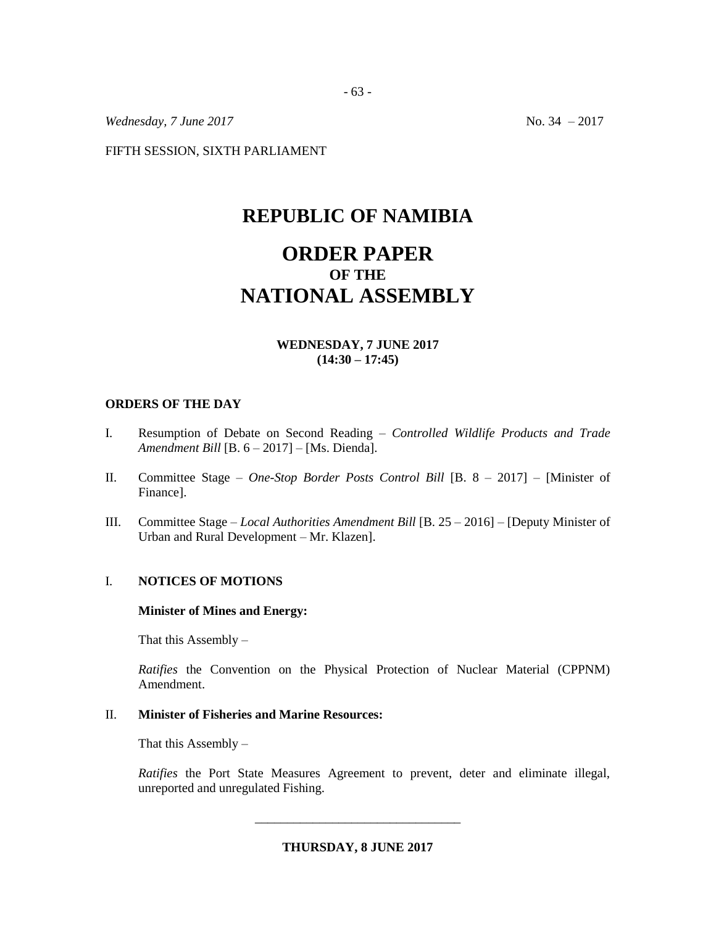*Wednesday, 7 June* 2017 **No. 34** – 2017

FIFTH SESSION, SIXTH PARLIAMENT

# **REPUBLIC OF NAMIBIA**

# **ORDER PAPER OF THE NATIONAL ASSEMBLY**

## **WEDNESDAY, 7 JUNE 2017 (14:30 – 17:45)**

#### **ORDERS OF THE DAY**

- I. Resumption of Debate on Second Reading *Controlled Wildlife Products and Trade Amendment Bill* [B. 6 – 2017] – [Ms. Dienda].
- II. Committee Stage *One-Stop Border Posts Control Bill* [B. 8 2017] [Minister of Finance].
- III. Committee Stage *Local Authorities Amendment Bill* [B. 25 2016] [Deputy Minister of Urban and Rural Development – Mr. Klazen].

## I. **NOTICES OF MOTIONS**

#### **Minister of Mines and Energy:**

That this Assembly –

*Ratifies* the Convention on the Physical Protection of Nuclear Material (CPPNM) Amendment.

### II. **Minister of Fisheries and Marine Resources:**

That this Assembly  $-$ 

*Ratifies* the Port State Measures Agreement to prevent, deter and eliminate illegal, unreported and unregulated Fishing.

**THURSDAY, 8 JUNE 2017**

\_\_\_\_\_\_\_\_\_\_\_\_\_\_\_\_\_\_\_\_\_\_\_\_\_\_\_\_\_\_\_\_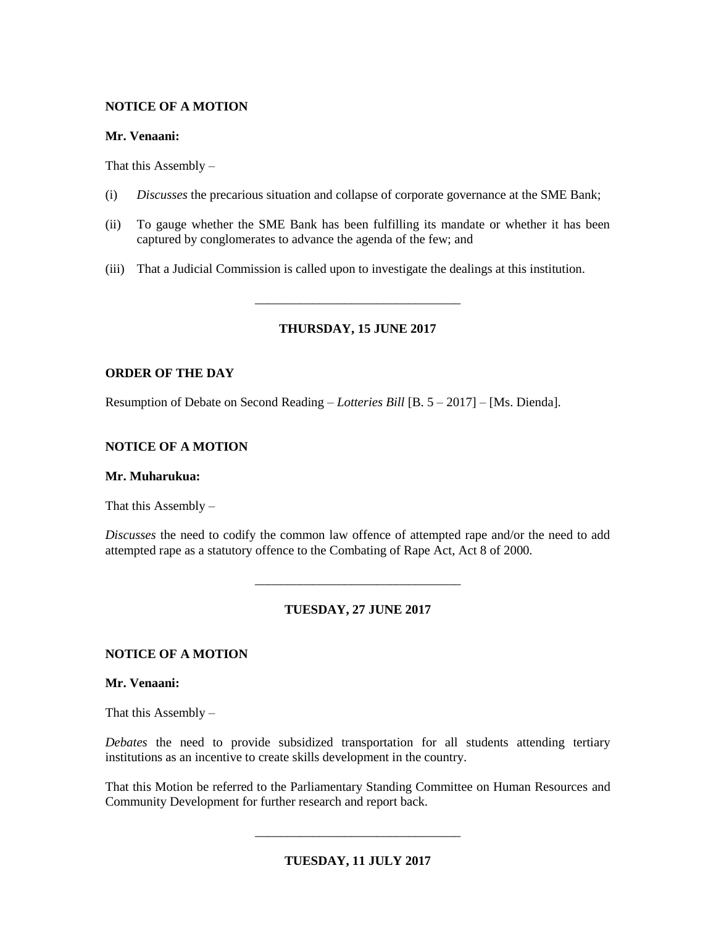# **NOTICE OF A MOTION**

## **Mr. Venaani:**

That this Assembly  $-$ 

- (i) *Discusses* the precarious situation and collapse of corporate governance at the SME Bank;
- (ii) To gauge whether the SME Bank has been fulfilling its mandate or whether it has been captured by conglomerates to advance the agenda of the few; and
- (iii) That a Judicial Commission is called upon to investigate the dealings at this institution.

# **THURSDAY, 15 JUNE 2017**

\_\_\_\_\_\_\_\_\_\_\_\_\_\_\_\_\_\_\_\_\_\_\_\_\_\_\_\_\_\_\_\_

# **ORDER OF THE DAY**

Resumption of Debate on Second Reading – *Lotteries Bill* [B. 5 – 2017] – [Ms. Dienda].

# **NOTICE OF A MOTION**

## **Mr. Muharukua:**

That this Assembly –

*Discusses* the need to codify the common law offence of attempted rape and/or the need to add attempted rape as a statutory offence to the Combating of Rape Act, Act 8 of 2000.

# **TUESDAY, 27 JUNE 2017**

\_\_\_\_\_\_\_\_\_\_\_\_\_\_\_\_\_\_\_\_\_\_\_\_\_\_\_\_\_\_\_\_

# **NOTICE OF A MOTION**

**Mr. Venaani:**

That this Assembly –

*Debates* the need to provide subsidized transportation for all students attending tertiary institutions as an incentive to create skills development in the country.

That this Motion be referred to the Parliamentary Standing Committee on Human Resources and Community Development for further research and report back.

\_\_\_\_\_\_\_\_\_\_\_\_\_\_\_\_\_\_\_\_\_\_\_\_\_\_\_\_\_\_\_\_